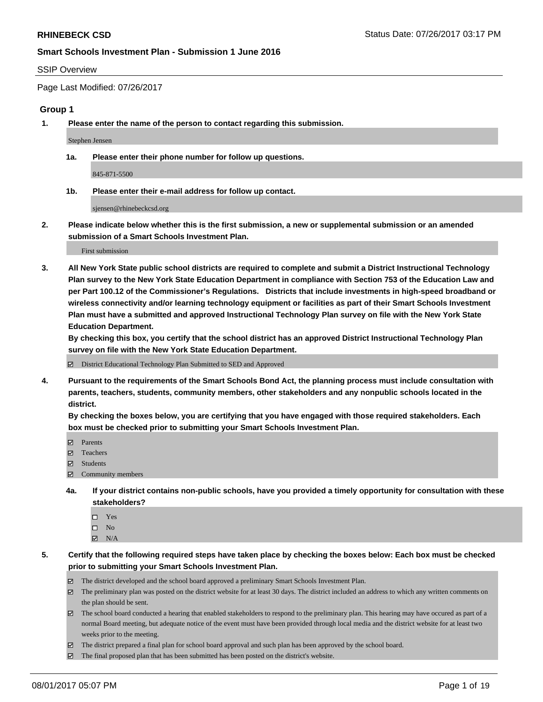#### SSIP Overview

Page Last Modified: 07/26/2017

### **Group 1**

**1. Please enter the name of the person to contact regarding this submission.**

Stephen Jensen

**1a. Please enter their phone number for follow up questions.**

845-871-5500

**1b. Please enter their e-mail address for follow up contact.**

sjensen@rhinebeckcsd.org

**2. Please indicate below whether this is the first submission, a new or supplemental submission or an amended submission of a Smart Schools Investment Plan.**

First submission

**3. All New York State public school districts are required to complete and submit a District Instructional Technology Plan survey to the New York State Education Department in compliance with Section 753 of the Education Law and per Part 100.12 of the Commissioner's Regulations. Districts that include investments in high-speed broadband or wireless connectivity and/or learning technology equipment or facilities as part of their Smart Schools Investment Plan must have a submitted and approved Instructional Technology Plan survey on file with the New York State Education Department.** 

**By checking this box, you certify that the school district has an approved District Instructional Technology Plan survey on file with the New York State Education Department.**

District Educational Technology Plan Submitted to SED and Approved

**4. Pursuant to the requirements of the Smart Schools Bond Act, the planning process must include consultation with parents, teachers, students, community members, other stakeholders and any nonpublic schools located in the district.** 

**By checking the boxes below, you are certifying that you have engaged with those required stakeholders. Each box must be checked prior to submitting your Smart Schools Investment Plan.**

- **マ** Parents
- □ Teachers
- Students
- $\Xi$  Community members
- **4a. If your district contains non-public schools, have you provided a timely opportunity for consultation with these stakeholders?**
	- Yes
	- $\hfill \square$  No
	- $\boxtimes$  N/A
- **5. Certify that the following required steps have taken place by checking the boxes below: Each box must be checked prior to submitting your Smart Schools Investment Plan.**
	- The district developed and the school board approved a preliminary Smart Schools Investment Plan.
	- $\boxtimes$  The preliminary plan was posted on the district website for at least 30 days. The district included an address to which any written comments on the plan should be sent.
	- $\boxtimes$  The school board conducted a hearing that enabled stakeholders to respond to the preliminary plan. This hearing may have occured as part of a normal Board meeting, but adequate notice of the event must have been provided through local media and the district website for at least two weeks prior to the meeting.
	- The district prepared a final plan for school board approval and such plan has been approved by the school board.
	- $\boxtimes$  The final proposed plan that has been submitted has been posted on the district's website.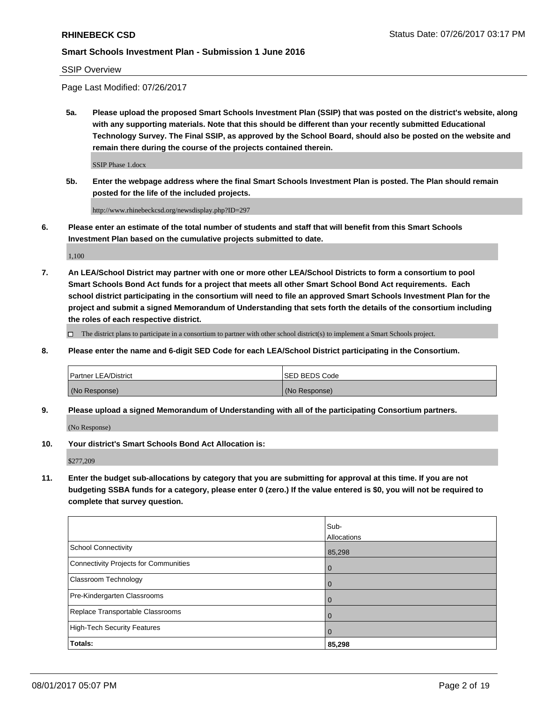SSIP Overview

Page Last Modified: 07/26/2017

**5a. Please upload the proposed Smart Schools Investment Plan (SSIP) that was posted on the district's website, along with any supporting materials. Note that this should be different than your recently submitted Educational Technology Survey. The Final SSIP, as approved by the School Board, should also be posted on the website and remain there during the course of the projects contained therein.**

SSIP Phase 1.docx

**5b. Enter the webpage address where the final Smart Schools Investment Plan is posted. The Plan should remain posted for the life of the included projects.**

http://www.rhinebeckcsd.org/newsdisplay.php?ID=297

**6. Please enter an estimate of the total number of students and staff that will benefit from this Smart Schools Investment Plan based on the cumulative projects submitted to date.**

1,100

**7. An LEA/School District may partner with one or more other LEA/School Districts to form a consortium to pool Smart Schools Bond Act funds for a project that meets all other Smart School Bond Act requirements. Each school district participating in the consortium will need to file an approved Smart Schools Investment Plan for the project and submit a signed Memorandum of Understanding that sets forth the details of the consortium including the roles of each respective district.**

 $\Box$  The district plans to participate in a consortium to partner with other school district(s) to implement a Smart Schools project.

**8. Please enter the name and 6-digit SED Code for each LEA/School District participating in the Consortium.**

| <b>Partner LEA/District</b> | <b>ISED BEDS Code</b> |
|-----------------------------|-----------------------|
| (No Response)               | (No Response)         |

**9. Please upload a signed Memorandum of Understanding with all of the participating Consortium partners.**

(No Response)

**10. Your district's Smart Schools Bond Act Allocation is:**

\$277,209

**11. Enter the budget sub-allocations by category that you are submitting for approval at this time. If you are not budgeting SSBA funds for a category, please enter 0 (zero.) If the value entered is \$0, you will not be required to complete that survey question.**

|                                              | Sub-           |
|----------------------------------------------|----------------|
|                                              | Allocations    |
| <b>School Connectivity</b>                   | 85,298         |
| <b>Connectivity Projects for Communities</b> | 0              |
| Classroom Technology                         | $\overline{0}$ |
| Pre-Kindergarten Classrooms                  | $\overline{0}$ |
| Replace Transportable Classrooms             | 0              |
| <b>High-Tech Security Features</b>           | $\overline{0}$ |
| Totals:                                      | 85,298         |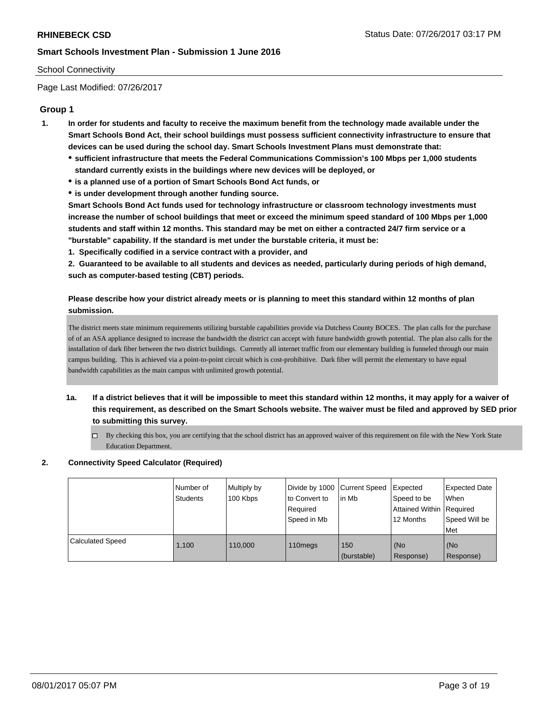## School Connectivity

Page Last Modified: 07/26/2017

## **Group 1**

- **1. In order for students and faculty to receive the maximum benefit from the technology made available under the Smart Schools Bond Act, their school buildings must possess sufficient connectivity infrastructure to ensure that devices can be used during the school day. Smart Schools Investment Plans must demonstrate that:**
	- **sufficient infrastructure that meets the Federal Communications Commission's 100 Mbps per 1,000 students standard currently exists in the buildings where new devices will be deployed, or**
	- **is a planned use of a portion of Smart Schools Bond Act funds, or**
	- **is under development through another funding source.**

**Smart Schools Bond Act funds used for technology infrastructure or classroom technology investments must increase the number of school buildings that meet or exceed the minimum speed standard of 100 Mbps per 1,000 students and staff within 12 months. This standard may be met on either a contracted 24/7 firm service or a "burstable" capability. If the standard is met under the burstable criteria, it must be:**

**1. Specifically codified in a service contract with a provider, and**

**2. Guaranteed to be available to all students and devices as needed, particularly during periods of high demand, such as computer-based testing (CBT) periods.**

## **Please describe how your district already meets or is planning to meet this standard within 12 months of plan submission.**

The district meets state minimum requirements utilizing burstable capabilities provide via Dutchess County BOCES. The plan calls for the purchase of of an ASA appliance designed to increase the bandwidth the district can accept with future bandwidth growth potential. The plan also calls for the installation of dark fiber between the two district buildings. Currently all internet traffic from our elementary building is funneled through our main campus building. This is achieved via a point-to-point circuit which is cost-prohibitive. Dark fiber will permit the elementary to have equal bandwidth capabilities as the main campus with unlimited growth potential.

- **1a. If a district believes that it will be impossible to meet this standard within 12 months, it may apply for a waiver of this requirement, as described on the Smart Schools website. The waiver must be filed and approved by SED prior to submitting this survey.**
	- $\Box$  By checking this box, you are certifying that the school district has an approved waiver of this requirement on file with the New York State Education Department.

### **2. Connectivity Speed Calculator (Required)**

|                               | Number of<br>Students | Multiply by<br>100 Kbps | Divide by 1000 Current Speed<br>to Convert to<br>Required<br>l Speed in Mb | l in Mb            | Expected<br>Speed to be<br>Attained Within   Required<br>12 Months | <b>Expected Date</b><br><b>When</b><br>Speed Will be<br>l Met |
|-------------------------------|-----------------------|-------------------------|----------------------------------------------------------------------------|--------------------|--------------------------------------------------------------------|---------------------------------------------------------------|
| <sup>1</sup> Calculated Speed | 1.100                 | 110.000                 | 110 <sub>megs</sub>                                                        | 150<br>(burstable) | (No<br>Response)                                                   | (No<br>Response)                                              |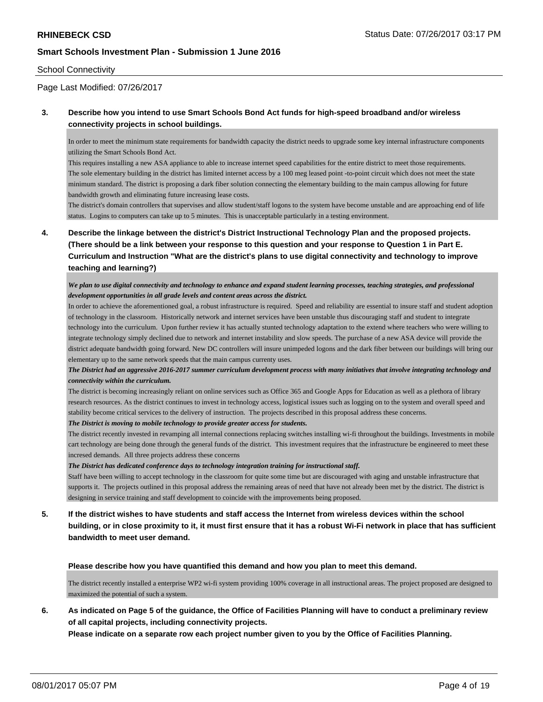#### School Connectivity

Page Last Modified: 07/26/2017

## **3. Describe how you intend to use Smart Schools Bond Act funds for high-speed broadband and/or wireless connectivity projects in school buildings.**

In order to meet the minimum state requirements for bandwidth capacity the district needs to upgrade some key internal infrastructure components utilizing the Smart Schools Bond Act.

This requires installing a new ASA appliance to able to increase internet speed capabilities for the entire district to meet those requirements. The sole elementary building in the district has limited internet access by a 100 meg leased point -to-point circuit which does not meet the state minimum standard. The district is proposing a dark fiber solution connecting the elementary building to the main campus allowing for future bandwidth growth and eliminating future increasing lease costs.

The district's domain controllers that supervises and allow student/staff logons to the system have become unstable and are approaching end of life status. Logins to computers can take up to 5 minutes. This is unacceptable particularly in a testing environment.

**4. Describe the linkage between the district's District Instructional Technology Plan and the proposed projects. (There should be a link between your response to this question and your response to Question 1 in Part E. Curriculum and Instruction "What are the district's plans to use digital connectivity and technology to improve teaching and learning?)**

*We plan to use digital connectivity and technology to enhance and expand student learning processes, teaching strategies, and professional development opportunities in all grade levels and content areas across the district.*

In order to achieve the aforementioned goal, a robust infrastructure is required. Speed and reliability are essential to insure staff and student adoption of technology in the classroom. Historically network and internet services have been unstable thus discouraging staff and student to integrate technology into the curriculum. Upon further review it has actually stunted technology adaptation to the extend where teachers who were willing to integrate technology simply declined due to network and internet instability and slow speeds. The purchase of a new ASA device will provide the district adequate bandwidth going forward. New DC controllers will insure unimpeded logons and the dark fiber between our buildings will bring our elementary up to the same network speeds that the main campus currenty uses.

#### *The District had an aggressive 2016-2017 summer curriculum development process with many initiatives that involve integrating technology and connectivity within the curriculum.*

The district is becoming increasingly reliant on online services such as Office 365 and Google Apps for Education as well as a plethora of library research resources. As the district continues to invest in technology access, logistical issues such as logging on to the system and overall speed and stability become critical services to the delivery of instruction. The projects described in this proposal address these concerns.

*The District is moving to mobile technology to provide greater access for students.*

The district recently invested in revamping all internal connections replacing switches installing wi-fi throughout the buildings. Investments in mobile cart technology are being done through the general funds of the district. This investment requires that the infrastructure be engineered to meet these incresed demands. All three projects address these concerns

*The District has dedicated conference days to technology integration training for instructional staff.*

Staff have been willing to accept technology in the classroom for quite some time but are discouraged with aging and unstable infrastructure that supports it. The projects outlined in this proposal address the remaining areas of need that have not already been met by the district. The district is designing in service training and staff development to coincide with the improvements being proposed.

**5. If the district wishes to have students and staff access the Internet from wireless devices within the school building, or in close proximity to it, it must first ensure that it has a robust Wi-Fi network in place that has sufficient bandwidth to meet user demand.**

**Please describe how you have quantified this demand and how you plan to meet this demand.**

The district recently installed a enterprise WP2 wi-fi system providing 100% coverage in all instructional areas. The project proposed are designed to maximized the potential of such a system.

## **6. As indicated on Page 5 of the guidance, the Office of Facilities Planning will have to conduct a preliminary review of all capital projects, including connectivity projects.**

**Please indicate on a separate row each project number given to you by the Office of Facilities Planning.**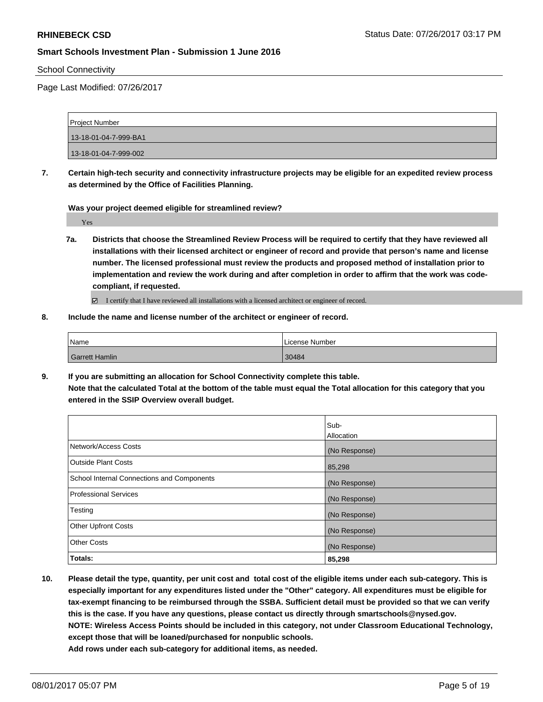School Connectivity

Page Last Modified: 07/26/2017

| <b>Project Number</b> |  |
|-----------------------|--|
| 13-18-01-04-7-999-BA1 |  |
| 13-18-01-04-7-999-002 |  |

**7. Certain high-tech security and connectivity infrastructure projects may be eligible for an expedited review process as determined by the Office of Facilities Planning.**

**Was your project deemed eligible for streamlined review?**

Yes

**7a. Districts that choose the Streamlined Review Process will be required to certify that they have reviewed all installations with their licensed architect or engineer of record and provide that person's name and license number. The licensed professional must review the products and proposed method of installation prior to implementation and review the work during and after completion in order to affirm that the work was codecompliant, if requested.**

I certify that I have reviewed all installations with a licensed architect or engineer of record.

**8. Include the name and license number of the architect or engineer of record.**

| Name                  | License Number |
|-----------------------|----------------|
| <b>Garrett Hamlin</b> | 30484          |

**9. If you are submitting an allocation for School Connectivity complete this table. Note that the calculated Total at the bottom of the table must equal the Total allocation for this category that you entered in the SSIP Overview overall budget.** 

|                                                   | Sub-<br><b>Allocation</b> |
|---------------------------------------------------|---------------------------|
| Network/Access Costs                              | (No Response)             |
| Outside Plant Costs                               | 85,298                    |
| <b>School Internal Connections and Components</b> | (No Response)             |
| Professional Services                             | (No Response)             |
| Testing                                           | (No Response)             |
| <b>Other Upfront Costs</b>                        | (No Response)             |
| <b>Other Costs</b>                                | (No Response)             |
| Totals:                                           | 85,298                    |

**10. Please detail the type, quantity, per unit cost and total cost of the eligible items under each sub-category. This is especially important for any expenditures listed under the "Other" category. All expenditures must be eligible for tax-exempt financing to be reimbursed through the SSBA. Sufficient detail must be provided so that we can verify this is the case. If you have any questions, please contact us directly through smartschools@nysed.gov. NOTE: Wireless Access Points should be included in this category, not under Classroom Educational Technology, except those that will be loaned/purchased for nonpublic schools.**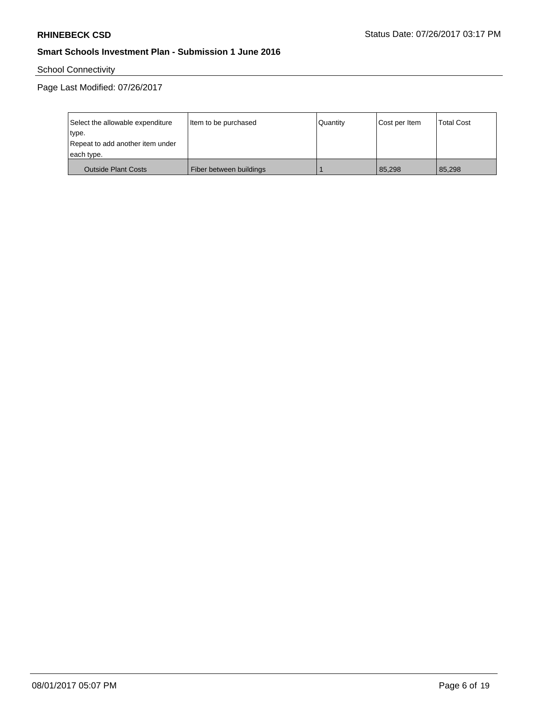School Connectivity

| Select the allowable expenditure | Item to be purchased    | Quantity | Cost per Item | <b>Total Cost</b> |
|----------------------------------|-------------------------|----------|---------------|-------------------|
| type.                            |                         |          |               |                   |
| Repeat to add another item under |                         |          |               |                   |
| each type.                       |                         |          |               |                   |
| <b>Outside Plant Costs</b>       | Fiber between buildings |          | 85.298        | 85.298            |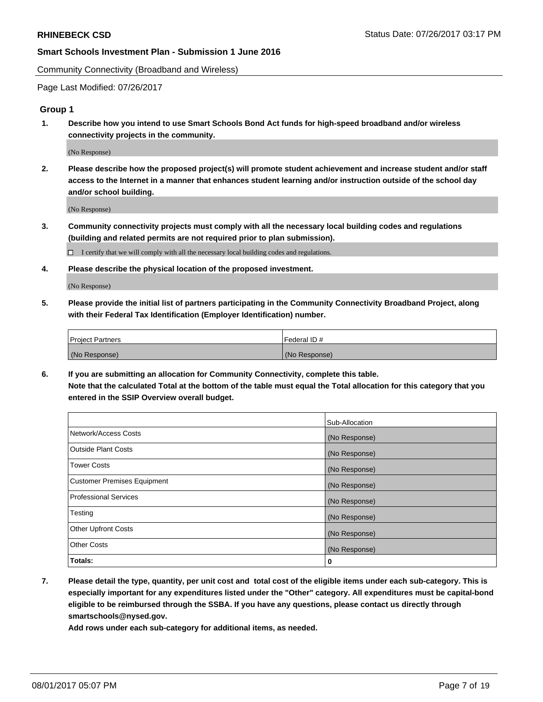Community Connectivity (Broadband and Wireless)

Page Last Modified: 07/26/2017

## **Group 1**

**1. Describe how you intend to use Smart Schools Bond Act funds for high-speed broadband and/or wireless connectivity projects in the community.**

(No Response)

**2. Please describe how the proposed project(s) will promote student achievement and increase student and/or staff access to the Internet in a manner that enhances student learning and/or instruction outside of the school day and/or school building.**

(No Response)

**3. Community connectivity projects must comply with all the necessary local building codes and regulations (building and related permits are not required prior to plan submission).**

 $\Box$  I certify that we will comply with all the necessary local building codes and regulations.

**4. Please describe the physical location of the proposed investment.**

(No Response)

**5. Please provide the initial list of partners participating in the Community Connectivity Broadband Project, along with their Federal Tax Identification (Employer Identification) number.**

| <b>Project Partners</b> | Federal ID#     |
|-------------------------|-----------------|
| (No Response)           | l (No Response) |

**6. If you are submitting an allocation for Community Connectivity, complete this table. Note that the calculated Total at the bottom of the table must equal the Total allocation for this category that you entered in the SSIP Overview overall budget.**

|                                    | Sub-Allocation |
|------------------------------------|----------------|
| Network/Access Costs               | (No Response)  |
| Outside Plant Costs                | (No Response)  |
| <b>Tower Costs</b>                 | (No Response)  |
| <b>Customer Premises Equipment</b> | (No Response)  |
| <b>Professional Services</b>       | (No Response)  |
| Testing                            | (No Response)  |
| <b>Other Upfront Costs</b>         | (No Response)  |
| <b>Other Costs</b>                 | (No Response)  |
| Totals:                            | 0              |

**7. Please detail the type, quantity, per unit cost and total cost of the eligible items under each sub-category. This is especially important for any expenditures listed under the "Other" category. All expenditures must be capital-bond eligible to be reimbursed through the SSBA. If you have any questions, please contact us directly through smartschools@nysed.gov.**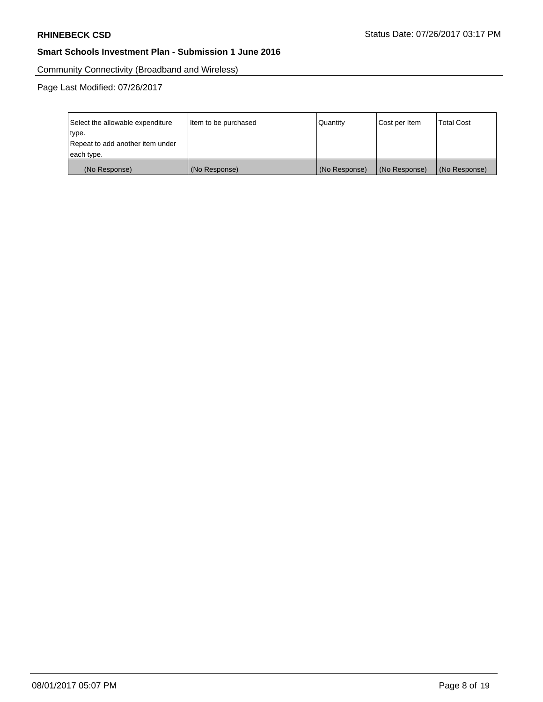Community Connectivity (Broadband and Wireless)

| Select the allowable expenditure<br>type.<br>Repeat to add another item under | Item to be purchased | Quantity      | Cost per Item | <b>Total Cost</b> |
|-------------------------------------------------------------------------------|----------------------|---------------|---------------|-------------------|
| each type.                                                                    |                      |               |               |                   |
| (No Response)                                                                 | (No Response)        | (No Response) | (No Response) | (No Response)     |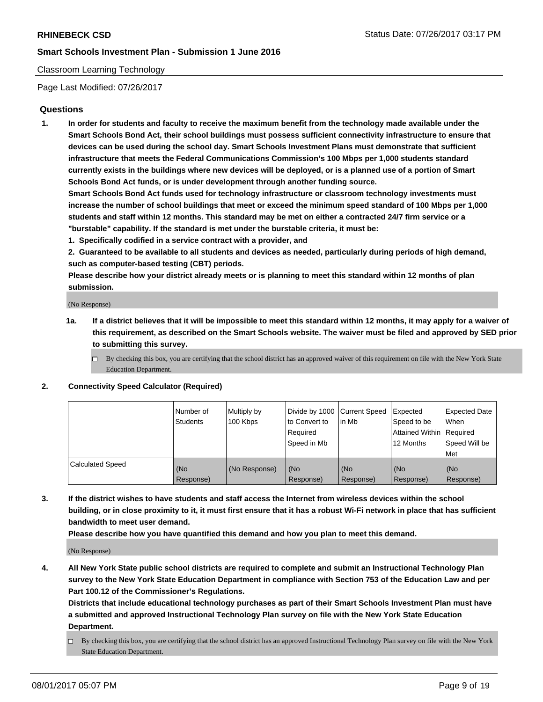#### Classroom Learning Technology

Page Last Modified: 07/26/2017

#### **Questions**

**1. In order for students and faculty to receive the maximum benefit from the technology made available under the Smart Schools Bond Act, their school buildings must possess sufficient connectivity infrastructure to ensure that devices can be used during the school day. Smart Schools Investment Plans must demonstrate that sufficient infrastructure that meets the Federal Communications Commission's 100 Mbps per 1,000 students standard currently exists in the buildings where new devices will be deployed, or is a planned use of a portion of Smart Schools Bond Act funds, or is under development through another funding source.**

**Smart Schools Bond Act funds used for technology infrastructure or classroom technology investments must increase the number of school buildings that meet or exceed the minimum speed standard of 100 Mbps per 1,000 students and staff within 12 months. This standard may be met on either a contracted 24/7 firm service or a "burstable" capability. If the standard is met under the burstable criteria, it must be:**

- **1. Specifically codified in a service contract with a provider, and**
- **2. Guaranteed to be available to all students and devices as needed, particularly during periods of high demand, such as computer-based testing (CBT) periods.**

**Please describe how your district already meets or is planning to meet this standard within 12 months of plan submission.**

(No Response)

- **1a. If a district believes that it will be impossible to meet this standard within 12 months, it may apply for a waiver of this requirement, as described on the Smart Schools website. The waiver must be filed and approved by SED prior to submitting this survey.**
	- $\Box$  By checking this box, you are certifying that the school district has an approved waiver of this requirement on file with the New York State Education Department.

#### **2. Connectivity Speed Calculator (Required)**

|                         | l Number of<br>Students | Multiply by<br>100 Kbps | Divide by 1000   Current Speed<br>to Convert to<br>Required<br>Speed in Mb | lin Mb           | Expected<br>Speed to be<br>Attained Within Required<br>12 Months | <b>Expected Date</b><br>When<br>Speed Will be<br>Met |
|-------------------------|-------------------------|-------------------------|----------------------------------------------------------------------------|------------------|------------------------------------------------------------------|------------------------------------------------------|
| <b>Calculated Speed</b> | (No<br>Response)        | (No Response)           | (No<br>Response)                                                           | (No<br>Response) | (No<br>Response)                                                 | (No<br>Response)                                     |

**3. If the district wishes to have students and staff access the Internet from wireless devices within the school building, or in close proximity to it, it must first ensure that it has a robust Wi-Fi network in place that has sufficient bandwidth to meet user demand.**

**Please describe how you have quantified this demand and how you plan to meet this demand.**

(No Response)

**4. All New York State public school districts are required to complete and submit an Instructional Technology Plan survey to the New York State Education Department in compliance with Section 753 of the Education Law and per Part 100.12 of the Commissioner's Regulations.**

**Districts that include educational technology purchases as part of their Smart Schools Investment Plan must have a submitted and approved Instructional Technology Plan survey on file with the New York State Education Department.**

 $\Box$  By checking this box, you are certifying that the school district has an approved Instructional Technology Plan survey on file with the New York State Education Department.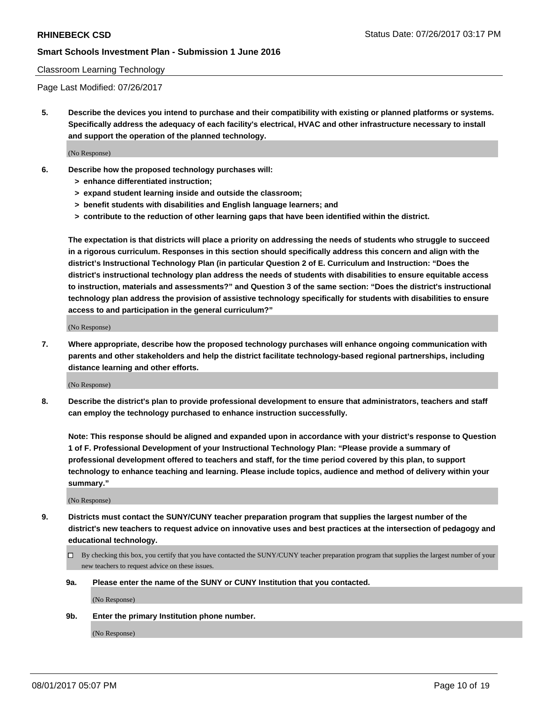#### Classroom Learning Technology

Page Last Modified: 07/26/2017

**5. Describe the devices you intend to purchase and their compatibility with existing or planned platforms or systems. Specifically address the adequacy of each facility's electrical, HVAC and other infrastructure necessary to install and support the operation of the planned technology.**

(No Response)

- **6. Describe how the proposed technology purchases will:**
	- **> enhance differentiated instruction;**
	- **> expand student learning inside and outside the classroom;**
	- **> benefit students with disabilities and English language learners; and**
	- **> contribute to the reduction of other learning gaps that have been identified within the district.**

**The expectation is that districts will place a priority on addressing the needs of students who struggle to succeed in a rigorous curriculum. Responses in this section should specifically address this concern and align with the district's Instructional Technology Plan (in particular Question 2 of E. Curriculum and Instruction: "Does the district's instructional technology plan address the needs of students with disabilities to ensure equitable access to instruction, materials and assessments?" and Question 3 of the same section: "Does the district's instructional technology plan address the provision of assistive technology specifically for students with disabilities to ensure access to and participation in the general curriculum?"**

(No Response)

**7. Where appropriate, describe how the proposed technology purchases will enhance ongoing communication with parents and other stakeholders and help the district facilitate technology-based regional partnerships, including distance learning and other efforts.**

(No Response)

**8. Describe the district's plan to provide professional development to ensure that administrators, teachers and staff can employ the technology purchased to enhance instruction successfully.**

**Note: This response should be aligned and expanded upon in accordance with your district's response to Question 1 of F. Professional Development of your Instructional Technology Plan: "Please provide a summary of professional development offered to teachers and staff, for the time period covered by this plan, to support technology to enhance teaching and learning. Please include topics, audience and method of delivery within your summary."**

(No Response)

- **9. Districts must contact the SUNY/CUNY teacher preparation program that supplies the largest number of the district's new teachers to request advice on innovative uses and best practices at the intersection of pedagogy and educational technology.**
	- By checking this box, you certify that you have contacted the SUNY/CUNY teacher preparation program that supplies the largest number of your new teachers to request advice on these issues.
	- **9a. Please enter the name of the SUNY or CUNY Institution that you contacted.**

(No Response)

**9b. Enter the primary Institution phone number.**

(No Response)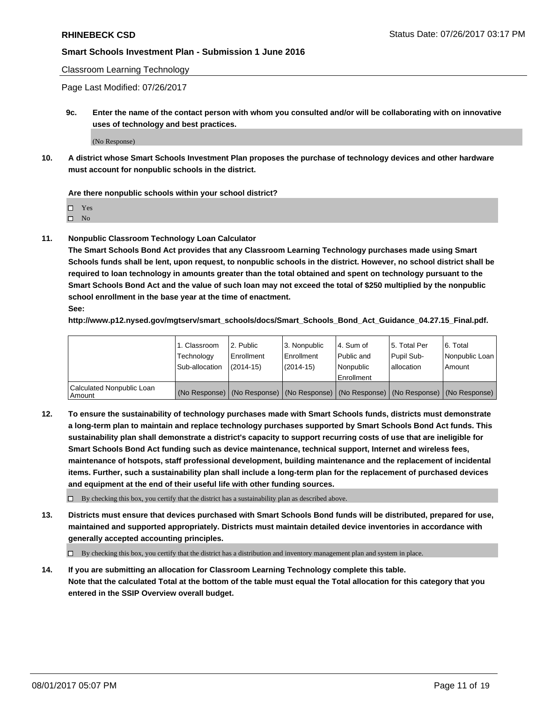Classroom Learning Technology

Page Last Modified: 07/26/2017

**9c. Enter the name of the contact person with whom you consulted and/or will be collaborating with on innovative uses of technology and best practices.**

(No Response)

**10. A district whose Smart Schools Investment Plan proposes the purchase of technology devices and other hardware must account for nonpublic schools in the district.**

**Are there nonpublic schools within your school district?**

Yes

 $\square$  No

**11. Nonpublic Classroom Technology Loan Calculator**

**The Smart Schools Bond Act provides that any Classroom Learning Technology purchases made using Smart Schools funds shall be lent, upon request, to nonpublic schools in the district. However, no school district shall be required to loan technology in amounts greater than the total obtained and spent on technology pursuant to the Smart Schools Bond Act and the value of such loan may not exceed the total of \$250 multiplied by the nonpublic school enrollment in the base year at the time of enactment.**

**See:**

**http://www.p12.nysed.gov/mgtserv/smart\_schools/docs/Smart\_Schools\_Bond\_Act\_Guidance\_04.27.15\_Final.pdf.**

|                                       | 1. Classroom<br>Technology | l 2. Public<br>Enrollment | 3. Nonpublic<br>Enrollment | l 4. Sum of<br>Public and | 15. Total Per<br>Pupil Sub- | 6. Total<br>Nonpublic Loan                                                                    |
|---------------------------------------|----------------------------|---------------------------|----------------------------|---------------------------|-----------------------------|-----------------------------------------------------------------------------------------------|
|                                       | Sub-allocation             | $(2014-15)$               | $(2014-15)$                | l Nonpublic               | allocation                  | Amount                                                                                        |
|                                       |                            |                           |                            | Enrollment                |                             |                                                                                               |
| Calculated Nonpublic Loan<br>  Amount |                            |                           |                            |                           |                             | (No Response)   (No Response)   (No Response)   (No Response)   (No Response)   (No Response) |

**12. To ensure the sustainability of technology purchases made with Smart Schools funds, districts must demonstrate a long-term plan to maintain and replace technology purchases supported by Smart Schools Bond Act funds. This sustainability plan shall demonstrate a district's capacity to support recurring costs of use that are ineligible for Smart Schools Bond Act funding such as device maintenance, technical support, Internet and wireless fees, maintenance of hotspots, staff professional development, building maintenance and the replacement of incidental items. Further, such a sustainability plan shall include a long-term plan for the replacement of purchased devices and equipment at the end of their useful life with other funding sources.**

 $\Box$  By checking this box, you certify that the district has a sustainability plan as described above.

**13. Districts must ensure that devices purchased with Smart Schools Bond funds will be distributed, prepared for use, maintained and supported appropriately. Districts must maintain detailed device inventories in accordance with generally accepted accounting principles.**

By checking this box, you certify that the district has a distribution and inventory management plan and system in place.

**14. If you are submitting an allocation for Classroom Learning Technology complete this table. Note that the calculated Total at the bottom of the table must equal the Total allocation for this category that you entered in the SSIP Overview overall budget.**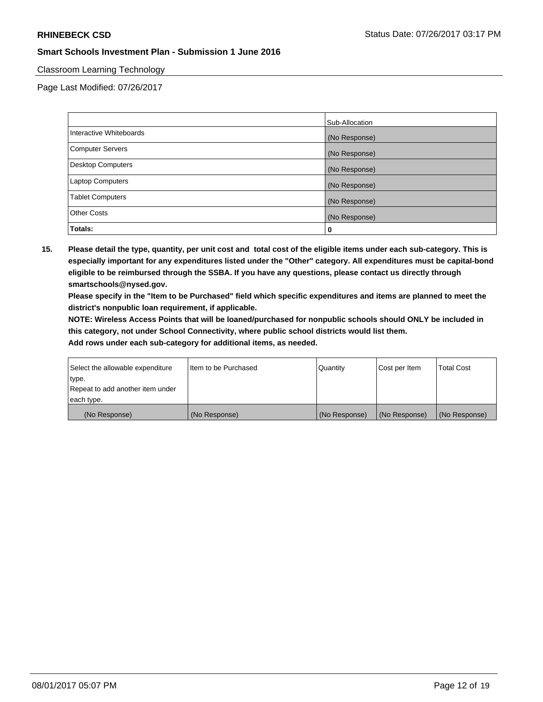## Classroom Learning Technology

Page Last Modified: 07/26/2017

|                          | Sub-Allocation |
|--------------------------|----------------|
| Interactive Whiteboards  | (No Response)  |
| Computer Servers         | (No Response)  |
| <b>Desktop Computers</b> | (No Response)  |
| <b>Laptop Computers</b>  | (No Response)  |
| <b>Tablet Computers</b>  | (No Response)  |
| <b>Other Costs</b>       | (No Response)  |
| Totals:                  | 0              |

**15. Please detail the type, quantity, per unit cost and total cost of the eligible items under each sub-category. This is especially important for any expenditures listed under the "Other" category. All expenditures must be capital-bond eligible to be reimbursed through the SSBA. If you have any questions, please contact us directly through smartschools@nysed.gov.**

**Please specify in the "Item to be Purchased" field which specific expenditures and items are planned to meet the district's nonpublic loan requirement, if applicable.**

**NOTE: Wireless Access Points that will be loaned/purchased for nonpublic schools should ONLY be included in this category, not under School Connectivity, where public school districts would list them.**

| (No Response)                    | (No Response)        | (No Response) | (No Response) | (No Response)     |
|----------------------------------|----------------------|---------------|---------------|-------------------|
| each type.                       |                      |               |               |                   |
| Repeat to add another item under |                      |               |               |                   |
| ∣type.                           |                      |               |               |                   |
| Select the allowable expenditure | Item to be Purchased | Quantity      | Cost per Item | <b>Total Cost</b> |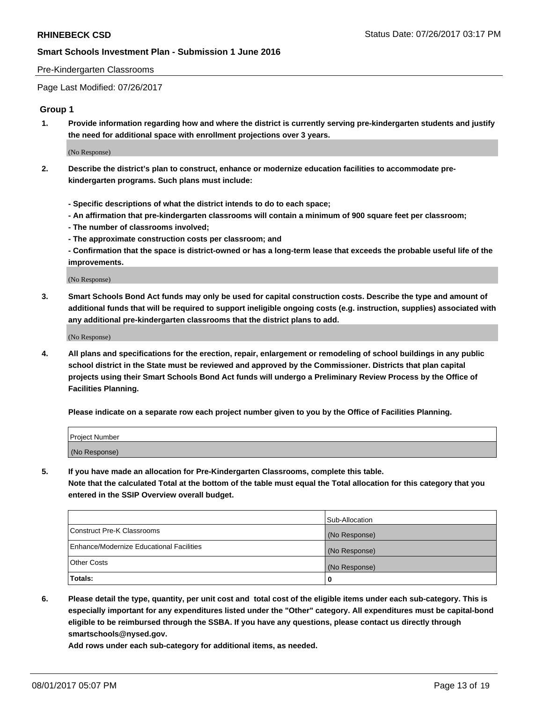#### Pre-Kindergarten Classrooms

Page Last Modified: 07/26/2017

### **Group 1**

**1. Provide information regarding how and where the district is currently serving pre-kindergarten students and justify the need for additional space with enrollment projections over 3 years.**

(No Response)

- **2. Describe the district's plan to construct, enhance or modernize education facilities to accommodate prekindergarten programs. Such plans must include:**
	- **Specific descriptions of what the district intends to do to each space;**
	- **An affirmation that pre-kindergarten classrooms will contain a minimum of 900 square feet per classroom;**
	- **The number of classrooms involved;**
	- **The approximate construction costs per classroom; and**
	- **Confirmation that the space is district-owned or has a long-term lease that exceeds the probable useful life of the improvements.**

(No Response)

**3. Smart Schools Bond Act funds may only be used for capital construction costs. Describe the type and amount of additional funds that will be required to support ineligible ongoing costs (e.g. instruction, supplies) associated with any additional pre-kindergarten classrooms that the district plans to add.**

(No Response)

**4. All plans and specifications for the erection, repair, enlargement or remodeling of school buildings in any public school district in the State must be reviewed and approved by the Commissioner. Districts that plan capital projects using their Smart Schools Bond Act funds will undergo a Preliminary Review Process by the Office of Facilities Planning.**

**Please indicate on a separate row each project number given to you by the Office of Facilities Planning.**

| Project Number |  |
|----------------|--|
| (No Response)  |  |

**5. If you have made an allocation for Pre-Kindergarten Classrooms, complete this table. Note that the calculated Total at the bottom of the table must equal the Total allocation for this category that you entered in the SSIP Overview overall budget.**

| Totals:                                  | 0              |
|------------------------------------------|----------------|
| Other Costs                              | (No Response)  |
| Enhance/Modernize Educational Facilities | (No Response)  |
| Construct Pre-K Classrooms               | (No Response)  |
|                                          | Sub-Allocation |

**6. Please detail the type, quantity, per unit cost and total cost of the eligible items under each sub-category. This is especially important for any expenditures listed under the "Other" category. All expenditures must be capital-bond eligible to be reimbursed through the SSBA. If you have any questions, please contact us directly through smartschools@nysed.gov.**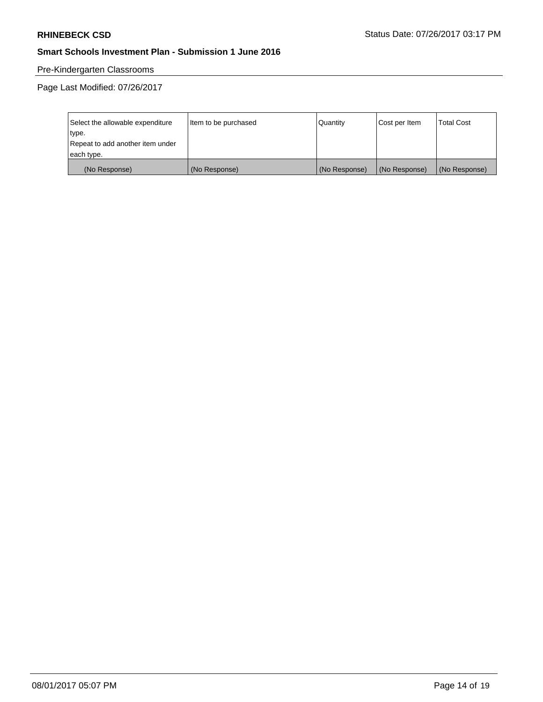## Pre-Kindergarten Classrooms

| Select the allowable expenditure | Item to be purchased | Quantity      | Cost per Item | <b>Total Cost</b> |
|----------------------------------|----------------------|---------------|---------------|-------------------|
| type.                            |                      |               |               |                   |
| Repeat to add another item under |                      |               |               |                   |
| each type.                       |                      |               |               |                   |
| (No Response)                    | (No Response)        | (No Response) | (No Response) | (No Response)     |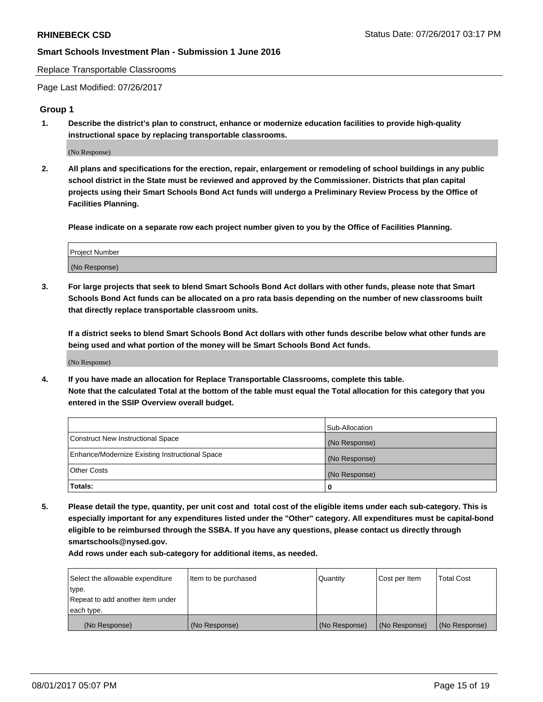Replace Transportable Classrooms

Page Last Modified: 07/26/2017

## **Group 1**

**1. Describe the district's plan to construct, enhance or modernize education facilities to provide high-quality instructional space by replacing transportable classrooms.**

(No Response)

**2. All plans and specifications for the erection, repair, enlargement or remodeling of school buildings in any public school district in the State must be reviewed and approved by the Commissioner. Districts that plan capital projects using their Smart Schools Bond Act funds will undergo a Preliminary Review Process by the Office of Facilities Planning.**

**Please indicate on a separate row each project number given to you by the Office of Facilities Planning.**

| Project Number |  |
|----------------|--|
| (No Response)  |  |

**3. For large projects that seek to blend Smart Schools Bond Act dollars with other funds, please note that Smart Schools Bond Act funds can be allocated on a pro rata basis depending on the number of new classrooms built that directly replace transportable classroom units.**

**If a district seeks to blend Smart Schools Bond Act dollars with other funds describe below what other funds are being used and what portion of the money will be Smart Schools Bond Act funds.**

(No Response)

**4. If you have made an allocation for Replace Transportable Classrooms, complete this table. Note that the calculated Total at the bottom of the table must equal the Total allocation for this category that you entered in the SSIP Overview overall budget.**

|                                                | Sub-Allocation |
|------------------------------------------------|----------------|
| Construct New Instructional Space              | (No Response)  |
| Enhance/Modernize Existing Instructional Space | (No Response)  |
| Other Costs                                    | (No Response)  |
| Totals:                                        | $\Omega$       |

**5. Please detail the type, quantity, per unit cost and total cost of the eligible items under each sub-category. This is especially important for any expenditures listed under the "Other" category. All expenditures must be capital-bond eligible to be reimbursed through the SSBA. If you have any questions, please contact us directly through smartschools@nysed.gov.**

| Select the allowable expenditure | Item to be purchased | Quantity      | Cost per Item | <b>Total Cost</b> |
|----------------------------------|----------------------|---------------|---------------|-------------------|
| type.                            |                      |               |               |                   |
| Repeat to add another item under |                      |               |               |                   |
| each type.                       |                      |               |               |                   |
| (No Response)                    | (No Response)        | (No Response) | (No Response) | (No Response)     |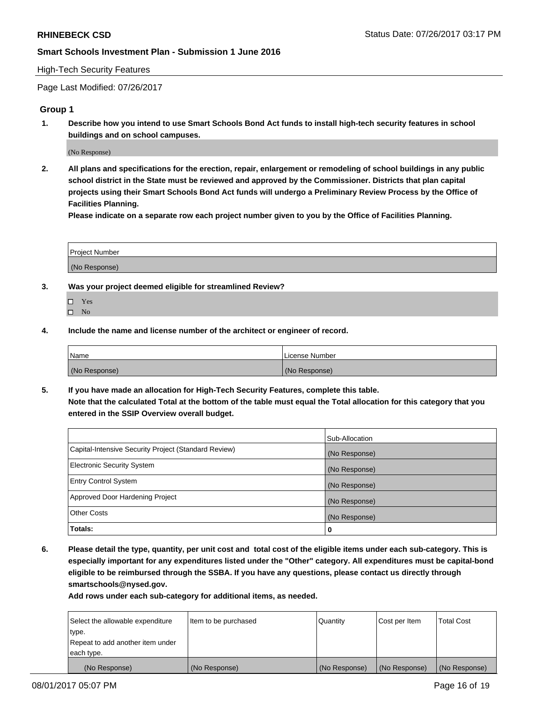#### High-Tech Security Features

Page Last Modified: 07/26/2017

### **Group 1**

**1. Describe how you intend to use Smart Schools Bond Act funds to install high-tech security features in school buildings and on school campuses.**

(No Response)

**2. All plans and specifications for the erection, repair, enlargement or remodeling of school buildings in any public school district in the State must be reviewed and approved by the Commissioner. Districts that plan capital projects using their Smart Schools Bond Act funds will undergo a Preliminary Review Process by the Office of Facilities Planning.** 

**Please indicate on a separate row each project number given to you by the Office of Facilities Planning.**

| Project Number |  |
|----------------|--|
|                |  |
| (No Response)  |  |

- **3. Was your project deemed eligible for streamlined Review?**
	- Yes  $\hfill \square$  No
- **4. Include the name and license number of the architect or engineer of record.**

| <b>Name</b>   | License Number |
|---------------|----------------|
| (No Response) | (No Response)  |

**5. If you have made an allocation for High-Tech Security Features, complete this table. Note that the calculated Total at the bottom of the table must equal the Total allocation for this category that you entered in the SSIP Overview overall budget.**

|                                                      | Sub-Allocation |
|------------------------------------------------------|----------------|
| Capital-Intensive Security Project (Standard Review) | (No Response)  |
| Electronic Security System                           | (No Response)  |
| <b>Entry Control System</b>                          | (No Response)  |
| Approved Door Hardening Project                      | (No Response)  |
| <b>Other Costs</b>                                   | (No Response)  |
| Totals:                                              | 0              |

**6. Please detail the type, quantity, per unit cost and total cost of the eligible items under each sub-category. This is especially important for any expenditures listed under the "Other" category. All expenditures must be capital-bond eligible to be reimbursed through the SSBA. If you have any questions, please contact us directly through smartschools@nysed.gov.**

| (No Response)                    | (No Response)        | (No Response)   | (No Response) | (No Response)     |
|----------------------------------|----------------------|-----------------|---------------|-------------------|
| each type.                       |                      |                 |               |                   |
| Repeat to add another item under |                      |                 |               |                   |
| type.                            |                      |                 |               |                   |
| Select the allowable expenditure | Item to be purchased | <b>Quantity</b> | Cost per Item | <b>Total Cost</b> |
|                                  |                      |                 |               |                   |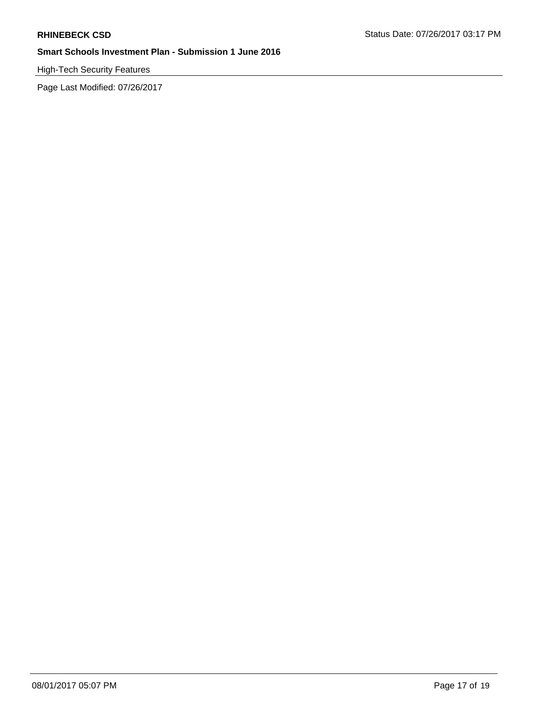High-Tech Security Features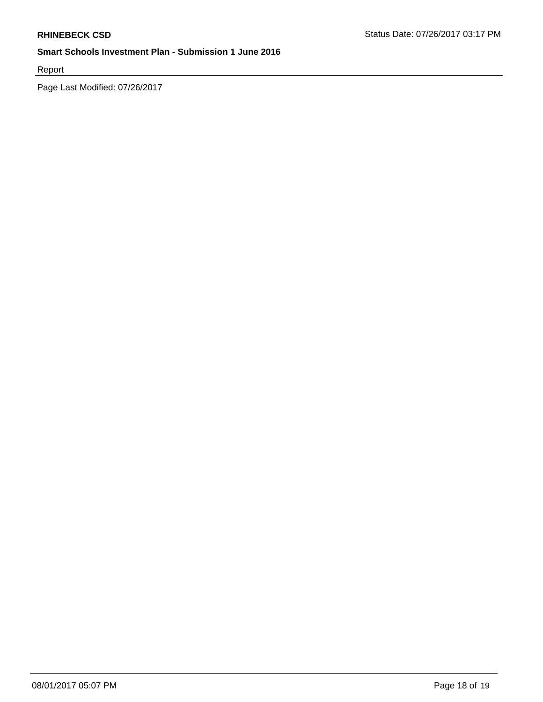Report